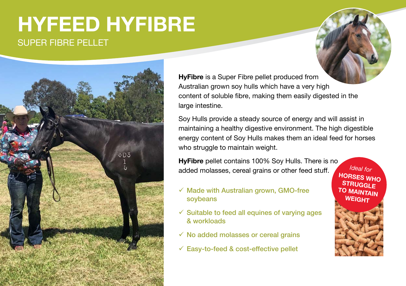# SUPER FIBRE PELLET **HYFEED HYFIBRE**



**HyFibre** is a Super Fibre pellet produced from Australian grown soy hulls which have a very high content of soluble fibre, making them easily digested in the large intestine.

Soy Hulls provide a steady source of energy and will assist in maintaining a healthy digestive environment. The high digestible energy content of Soy Hulls makes them an ideal feed for horses who struggle to maintain weight.

**HyFibre** pellet contains 100% Soy Hulls. There is no added molasses, cereal grains or other feed stuff. *Ideal for*

- $\checkmark$  Made with Australian grown, GMO-free soybeans
- $\checkmark$  Suitable to feed all equines of varying ages & workloads
- $\checkmark$  No added molasses or cereal grains
- $\checkmark$  Easy-to-feed & cost-effective pellet

**HORSES WHO STRUGGLE TO MAINTAIN WEIGHT**